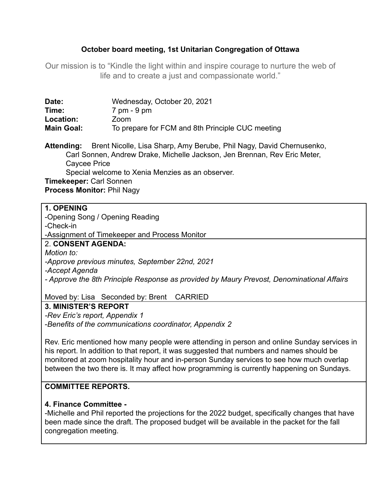# **October board meeting, 1st Unitarian Congregation of Ottawa**

Our mission is to "Kindle the light within and inspire courage to nurture the web of life and to create a just and compassionate world."

| Date:             | Wednesday, October 20, 2021                      |
|-------------------|--------------------------------------------------|
| Time:             | 7 pm - 9 pm                                      |
| Location:         | Zoom                                             |
| <b>Main Goal:</b> | To prepare for FCM and 8th Principle CUC meeting |

**Attending:** Brent Nicolle, Lisa Sharp, Amy Berube, Phil Nagy, David Chernusenko, Carl Sonnen, Andrew Drake, Michelle Jackson, Jen Brennan, Rev Eric Meter, Caycee Price Special welcome to Xenia Menzies as an observer. **Timekeeper:** Carl Sonnen

**Process Monitor:** Phil Nagy

#### **1. OPENING**

-Opening Song / Opening Reading

-Check-in

-Assignment of Timekeeper and Process Monitor

# 2. **CONSENT AGENDA:**

*Motion to: -Approve previous minutes, September 22nd, 2021*

*-Accept Agenda*

*- Approve the 8th Principle Response as provided by Maury Prevost, Denominational Affairs*

Moved by: Lisa Seconded by: Brent CARRIED

**3. MINISTER'S REPORT**

*-Rev Eric's report, Appendix 1* -*Benefits of the communications coordinator, Appendix 2*

Rev. Eric mentioned how many people were attending in person and online Sunday services in his report. In addition to that report, it was suggested that numbers and names should be monitored at zoom hospitality hour and in-person Sunday services to see how much overlap between the two there is. It may affect how programming is currently happening on Sundays.

# **COMMITTEE REPORTS.**

## **4. Finance Committee -**

-Michelle and Phil reported the projections for the 2022 budget, specifically changes that have been made since the draft. The proposed budget will be available in the packet for the fall congregation meeting.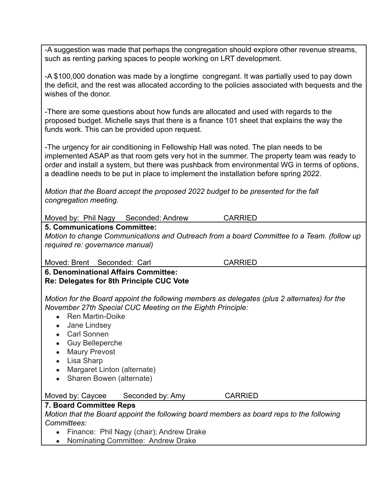-A suggestion was made that perhaps the congregation should explore other revenue streams, such as renting parking spaces to people working on LRT development.

-A \$100,000 donation was made by a longtime congregant. It was partially used to pay down the deficit, and the rest was allocated according to the policies associated with bequests and the wishes of the donor.

-There are some questions about how funds are allocated and used with regards to the proposed budget. Michelle says that there is a finance 101 sheet that explains the way the funds work. This can be provided upon request.

-The urgency for air conditioning in Fellowship Hall was noted. The plan needs to be implemented ASAP as that room gets very hot in the summer. The property team was ready to order and install a system, but there was pushback from environmental WG in terms of options, a deadline needs to be put in place to implement the installation before spring 2022.

*Motion that the Board accept the proposed 2022 budget to be presented for the fall congregation meeting.*

Moved by: Phil Nagy Seconded: Andrew CARRIED

**5. Communications Committee:**

*Motion to change Communications and Outreach from a board Committee to a Team. (follow up required re: governance manual)*

#### Moved: Brent Seconded: Carl CARRIED

**6. Denominational Affairs Committee: Re: Delegates for 8th Principle CUC Vote**

*Motion for the Board appoint the following members as delegates (plus 2 alternates) for the November 27th Special CUC Meeting on the Eighth Principle:*

- Ren Martin-Doike
- Jane Lindsev
- Carl Sonnen
- Guy Belleperche
- Maury Prevost
- Lisa Sharp
- Margaret Linton (alternate)
- Sharen Bowen (alternate)

#### Moved by: Caycee Seconded by: Amy CARRIED

# **7. Board Committee Reps**

*Motion that the Board appoint the following board members as board reps to the following Committees:*

- Finance: Phil Nagy (chair); Andrew Drake
- Nominating Committee: Andrew Drake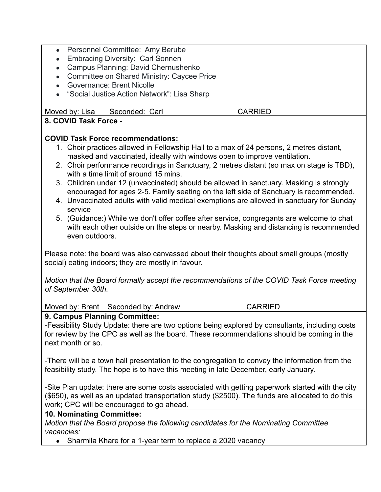- Personnel Committee: Amy Berube
- Embracing Diversity: Carl Sonnen
- Campus Planning: David Chernushenko
- Committee on Shared Ministry: Caycee Price
- Governance: Brent Nicolle
- "Social Justice Action Network": Lisa Sharp

Moved by: Lisa Seconded: Carl CARRIED

# **8. COVID Task Force -**

#### **COVID Task Force recommendations:**

- 1. Choir practices allowed in Fellowship Hall to a max of 24 persons, 2 metres distant, masked and vaccinated, ideally with windows open to improve ventilation.
- 2. Choir performance recordings in Sanctuary, 2 metres distant (so max on stage is TBD), with a time limit of around 15 mins.
- 3. Children under 12 (unvaccinated) should be allowed in sanctuary. Masking is strongly encouraged for ages 2-5. Family seating on the left side of Sanctuary is recommended.
- 4. Unvaccinated adults with valid medical exemptions are allowed in sanctuary for Sunday service
- 5. (Guidance:) While we don't offer coffee after service, congregants are welcome to chat with each other outside on the steps or nearby. Masking and distancing is recommended even outdoors.

Please note: the board was also canvassed about their thoughts about small groups (mostly social) eating indoors; they are mostly in favour.

*Motion that the Board formally accept the recommendations of the COVID Task Force meeting of September 30th.*

Moved by: Brent Seconded by: Andrew CARRIED

## **9. Campus Planning Committee:**

-Feasibility Study Update: there are two options being explored by consultants, including costs for review by the CPC as well as the board. These recommendations should be coming in the next month or so.

-There will be a town hall presentation to the congregation to convey the information from the feasibility study. The hope is to have this meeting in late December, early January.

-Site Plan update: there are some costs associated with getting paperwork started with the city (\$650), as well as an updated transportation study (\$2500). The funds are allocated to do this work; CPC will be encouraged to go ahead.

## **10. Nominating Committee:**

*Motion that the Board propose the following candidates for the Nominating Committee vacancies:*

• Sharmila Khare for a 1-year term to replace a 2020 vacancy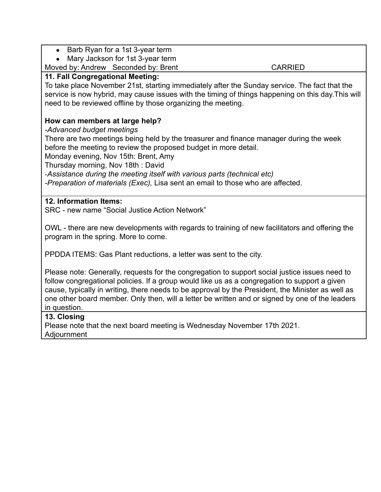- Barb Ryan for a 1st 3-year term
- Mary Jackson for 1st 3-year term

Moved by: Andrew Seconded by: Brent CARRIED

#### **11. Fall Congregational Meeting:**

To take place November 21st, starting immediately after the Sunday service. The fact that the service is now hybrid, may cause issues with the timing of things happening on this day.This will need to be reviewed offline by those organizing the meeting.

## **How can members at large help?**

*-Advanced budget meetings*

There are two meetings being held by the treasurer and finance manager during the week before the meeting to review the proposed budget in more detail.

Monday evening, Nov 15th: Brent, Amy

Thursday morning, Nov 18th : David

-*Assistance during the meeting itself with various parts (technical etc)*

*-Preparation of materials (Exec),* Lisa sent an email to those who are affected.

## **12. Information Items:**

SRC - new name "Social Justice Action Network"

OWL - there are new developments with regards to training of new facilitators and offering the program in the spring. More to come.

PPDDA ITEMS: Gas Plant reductions, a letter was sent to the city.

Please note: Generally, requests for the congregation to support social justice issues need to follow congregational policies. If a group would like us as a congregation to support a given cause, typically in writing, there needs to be approval by the President, the Minister as well as one other board member. Only then, will a letter be written and or signed by one of the leaders in question.

#### **13. Closing**

Please note that the next board meeting is Wednesday November 17th 2021. Adjournment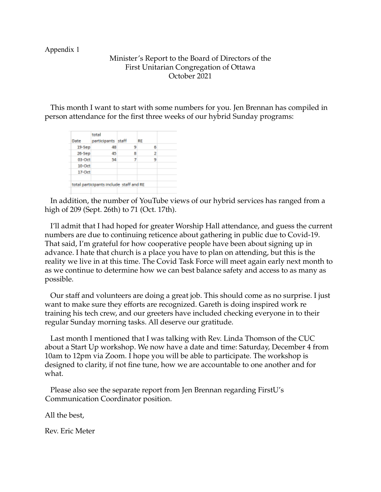#### Appendix 1

#### Minister's Report to the Board of Directors of the First Unitarian Congregation of Ottawa October 2021

This month I want to start with some numbers for you. Jen Brennan has compiled in person attendance for the first three weeks of our hybrid Sunday programs:

| Date      | total<br>participants staff             |   | RE |  |
|-----------|-----------------------------------------|---|----|--|
| $19-5ep$  | 48                                      | 9 | 6  |  |
| 26-Sep    | 45                                      | 8 | 2  |  |
| $03$ -Oct | 54                                      | 7 | 9  |  |
| $10$ -Oct |                                         |   |    |  |
| $17$ -Oct |                                         |   |    |  |
|           | total participants include staff and RE |   |    |  |

In addition, the number of YouTube views of our hybrid services has ranged from a high of 209 (Sept. 26th) to 71 (Oct. 17th).

I'll admit that I had hoped for greater Worship Hall attendance, and guess the current numbers are due to continuing reticence about gathering in public due to Covid-19. That said, I'm grateful for how cooperative people have been about signing up in advance. I hate that church is a place you have to plan on attending, but this is the reality we live in at this time. The Covid Task Force will meet again early next month to as we continue to determine how we can best balance safety and access to as many as possible.

Our staff and volunteers are doing a great job. This should come as no surprise. I just want to make sure they efforts are recognized. Gareth is doing inspired work re training his tech crew, and our greeters have included checking everyone in to their regular Sunday morning tasks. All deserve our gratitude.

Last month I mentioned that I was talking with Rev. Linda Thomson of the CUC about a Start Up workshop. We now have a date and time: Saturday, December 4 from 10am to 12pm via Zoom. I hope you will be able to participate. The workshop is designed to clarity, if not fine tune, how we are accountable to one another and for what.

Please also see the separate report from Jen Brennan regarding FirstU's Communication Coordinator position.

All the best,

Rev. Eric Meter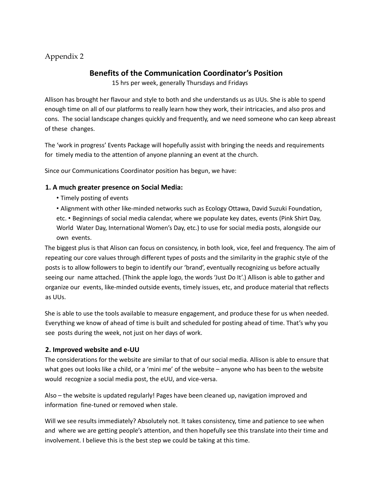# Appendix 2

# **Benefits of the Communication Coordinator's Position**

15 hrs per week, generally Thursdays and Fridays

Allison has brought her flavour and style to both and she understands us as UUs. She is able to spend enough time on all of our platforms to really learn how they work, their intricacies, and also pros and cons. The social landscape changes quickly and frequently, and we need someone who can keep abreast of these changes.

The 'work in progress' Events Package will hopefully assist with bringing the needs and requirements for timely media to the attention of anyone planning an event at the church.

Since our Communications Coordinator position has begun, we have:

#### **1. A much greater presence on Social Media:**

• Timely posting of events

• Alignment with other like-minded networks such as Ecology Ottawa, David Suzuki Foundation, etc. • Beginnings of social media calendar, where we populate key dates, events (Pink Shirt Day, World Water Day, International Women's Day, etc.) to use for social media posts, alongside our own events.

The biggest plus is that Alison can focus on consistency, in both look, vice, feel and frequency. The aim of repeating our core values through different types of posts and the similarity in the graphic style of the posts is to allow followers to begin to identify our 'brand', eventually recognizing us before actually seeing our name attached. (Think the apple logo, the words 'Just Do It'.) Allison is able to gather and organize our events, like-minded outside events, timely issues, etc, and produce material that reflects as UUs.

She is able to use the tools available to measure engagement, and produce these for us when needed. Everything we know of ahead of time is built and scheduled for posting ahead of time. That's why you see posts during the week, not just on her days of work.

#### **2. Improved website and e-UU**

The considerations for the website are similar to that of our social media. Allison is able to ensure that what goes out looks like a child, or a 'mini me' of the website – anyone who has been to the website would recognize a social media post, the eUU, and vice-versa.

Also – the website is updated regularly! Pages have been cleaned up, navigation improved and information fine-tuned or removed when stale.

Will we see results immediately? Absolutely not. It takes consistency, time and patience to see when and where we are getting people's attention, and then hopefully see this translate into their time and involvement. I believe this is the best step we could be taking at this time.